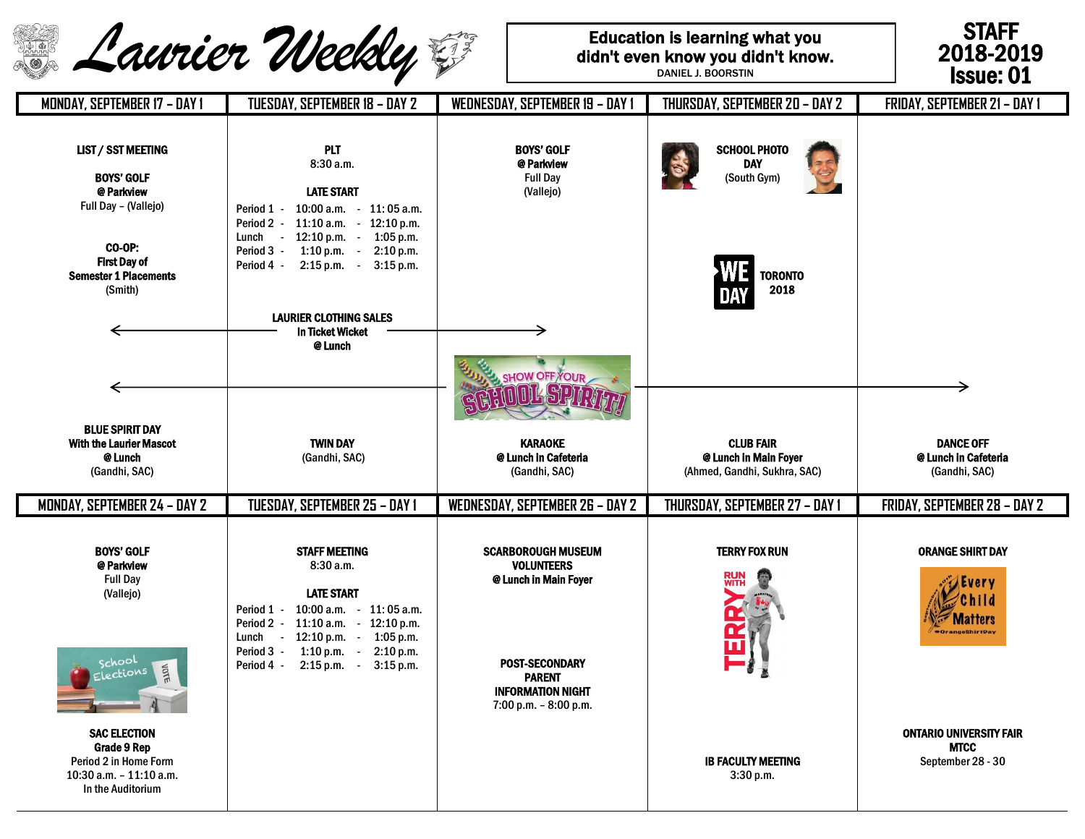|                                                                                                                | Laurier Weekly                                                                                                                                                                                                                                                        |                                                                                                                   | <b>Education is learning what you</b><br>didn't even know you didn't know.<br>DANIEL J. BOORSTIN | <b>STAFF</b><br>2018-2019<br><b>Issue: 01</b>                      |
|----------------------------------------------------------------------------------------------------------------|-----------------------------------------------------------------------------------------------------------------------------------------------------------------------------------------------------------------------------------------------------------------------|-------------------------------------------------------------------------------------------------------------------|--------------------------------------------------------------------------------------------------|--------------------------------------------------------------------|
| <b>MONDAY, SEPTEMBER 17 - DAY 1</b>                                                                            | TUESDAY, SEPTEMBER 18 – DAY 2                                                                                                                                                                                                                                         | <b>WEDNESDAY, SEPTEMBER 19 - DAY 1</b>                                                                            | THURSDAY, SEPTEMBER 20 - DAY 2                                                                   | <b>FRIDAY, SEPTEMBER 21 - DAY 1</b>                                |
| <b>LIST / SST MEETING</b><br><b>BOYS' GOLF</b><br>@ Parkview<br>Full Day - (Vallejo)                           | <b>PLT</b><br>8:30a.m.<br><b>LATE START</b><br>Period 1 - 10:00 a.m. - 11:05 a.m.<br>Period 2 - 11:10 a.m. - 12:10 p.m.<br>$-12:10 \text{ p.m.}$<br>$1:05$ p.m.<br>Lunch                                                                                              | <b>BOYS' GOLF</b><br>@ Parkview<br><b>Full Day</b><br>(Vallejo)                                                   | <b>SCHOOL PHOTO</b><br><b>DAY</b><br>(South Gym)                                                 |                                                                    |
| <b>CO-OP:</b><br><b>First Day of</b><br><b>Semester 1 Placements</b><br>(Smith)                                | Period 3 - 1:10 p.m. -<br>2:10 p.m.<br>$2:15 p.m. -$<br>$3:15$ p.m.<br>Period 4 -                                                                                                                                                                                     |                                                                                                                   | <b>TORONTO</b><br>2018                                                                           |                                                                    |
|                                                                                                                | <b>LAURIER CLOTHING SALES</b><br><b>In Ticket Wicket</b>                                                                                                                                                                                                              |                                                                                                                   |                                                                                                  |                                                                    |
|                                                                                                                | @ Lunch                                                                                                                                                                                                                                                               | SHOW OFF YOUR                                                                                                     |                                                                                                  |                                                                    |
| <b>BLUE SPIRIT DAY</b><br>With the Laurier Mascot<br>@ Lunch<br>(Gandhi, SAC)                                  | <b>TWIN DAY</b><br>(Gandhi, SAC)                                                                                                                                                                                                                                      | <b>KARAOKE</b><br>@ Lunch in Cafeteria<br>(Gandhi, SAC)                                                           | <b>CLUB FAIR</b><br>@ Lunch in Main Foyer<br>(Ahmed, Gandhi, Sukhra, SAC)                        | <b>DANCE OFF</b><br>@ Lunch in Cafeteria<br>(Gandhi, SAC)          |
| MONDAY, SEPTEMBER 24 - DAY 2                                                                                   | TUESDAY, SEPTEMBER 25 – DAY 1                                                                                                                                                                                                                                         | <b>WEDNESDAY, SEPTEMBER 26 - DAY 2</b>                                                                            | THURSDAY, SEPTEMBER 27 - DAY 1                                                                   | FRIDAY, SEPTEMBER 28 - DAY 2                                       |
| <b>BOYS' GOLF</b><br>@ Parkview<br><b>Full Day</b><br>(Vallejo)<br>school<br>JOTE<br>ections                   | <b>STAFF MEETING</b><br>8:30 a.m.<br><b>LATE START</b><br>$10:00$ a.m. $11:05$ a.m.<br>Period 1 -<br>Period 2 - 11:10 a.m. - 12:10 p.m.<br>$-12:10 p.m.$<br>$1:05$ p.m.<br>Lunch<br>Period 3 - 1:10 p.m. -<br>2:10 p.m.<br>$2:15 p.m. -$<br>Period 4 -<br>$3:15$ p.m. | <b>SCARBOROUGH MUSEUM</b><br><b>VOLUNTEERS</b><br>@ Lunch in Main Foyer<br><b>POST-SECONDARY</b><br><b>PARENT</b> | <b>TERRY FOX RUN</b>                                                                             | <b>ORANGE SHIRT DAY</b><br>Matters<br>#OrangeShirtDay              |
| <b>SAC ELECTION</b><br>Grade 9 Rep<br>Period 2 in Home Form<br>$10:30$ a.m. $-11:10$ a.m.<br>In the Auditorium |                                                                                                                                                                                                                                                                       | <b>INFORMATION NIGHT</b><br>$7:00$ p.m. $-8:00$ p.m.                                                              | <b>IB FACULTY MEETING</b><br>3:30 p.m.                                                           | <b>ONTARIO UNIVERSITY FAIR</b><br><b>MTCC</b><br>September 28 - 30 |